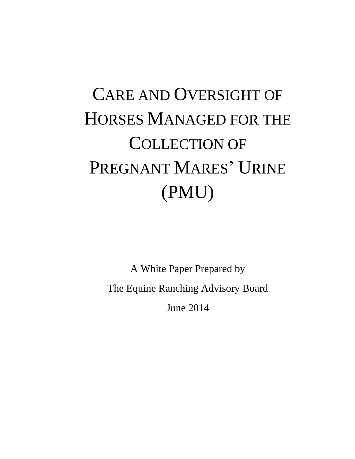# CARE AND OVERSIGHT OF HORSES MANAGED FOR THE COLLECTION OF PREGNANT MARES' URINE (PMU)

A White Paper Prepared by The Equine Ranching Advisory Board June 2014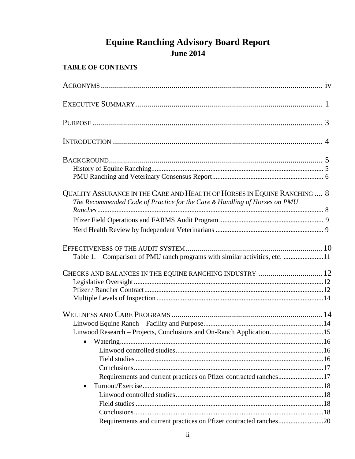# **Equine Ranching Advisory Board Report June 2014**

# **TABLE OF CONTENTS**

| QUALITY ASSURANCE IN THE CARE AND HEALTH OF HORSES IN EQUINE RANCHING  8<br>The Recommended Code of Practice for the Care & Handling of Horses on PMU |  |
|-------------------------------------------------------------------------------------------------------------------------------------------------------|--|
|                                                                                                                                                       |  |
|                                                                                                                                                       |  |
| Table 1. - Comparison of PMU ranch programs with similar activities, etc. 11                                                                          |  |
| CHECKS AND BALANCES IN THE EQUINE RANCHING INDUSTRY  12                                                                                               |  |
|                                                                                                                                                       |  |
|                                                                                                                                                       |  |
|                                                                                                                                                       |  |
|                                                                                                                                                       |  |
|                                                                                                                                                       |  |
| Linwood Research - Projects, Conclusions and On-Ranch Application15                                                                                   |  |
|                                                                                                                                                       |  |
|                                                                                                                                                       |  |
|                                                                                                                                                       |  |
|                                                                                                                                                       |  |
| Requirements and current practices on Pfizer contracted ranches17                                                                                     |  |
|                                                                                                                                                       |  |
|                                                                                                                                                       |  |
|                                                                                                                                                       |  |
|                                                                                                                                                       |  |
| Requirements and current practices on Pfizer contracted ranches20                                                                                     |  |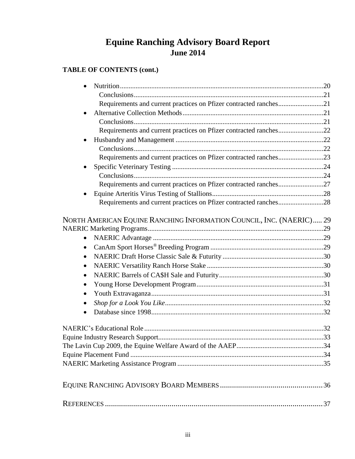# **Equine Ranching Advisory Board Report June 2014**

# **TABLE OF CONTENTS (cont.)**

| Requirements and current practices on Pfizer contracted ranches21    |  |
|----------------------------------------------------------------------|--|
| $\bullet$                                                            |  |
|                                                                      |  |
| Requirements and current practices on Pfizer contracted ranches22    |  |
| $\bullet$                                                            |  |
|                                                                      |  |
| Requirements and current practices on Pfizer contracted ranches23    |  |
|                                                                      |  |
|                                                                      |  |
| Requirements and current practices on Pfizer contracted ranches27    |  |
|                                                                      |  |
| Requirements and current practices on Pfizer contracted ranches28    |  |
| NORTH AMERICAN EQUINE RANCHING INFORMATION COUNCIL, INC. (NAERIC) 29 |  |
|                                                                      |  |
| $\bullet$                                                            |  |
| $\bullet$                                                            |  |
| ٠                                                                    |  |
| $\bullet$                                                            |  |
| $\bullet$                                                            |  |
| $\bullet$                                                            |  |
| $\bullet$                                                            |  |
| ٠                                                                    |  |
| $\bullet$                                                            |  |
|                                                                      |  |
|                                                                      |  |
|                                                                      |  |
|                                                                      |  |
|                                                                      |  |
|                                                                      |  |
|                                                                      |  |
|                                                                      |  |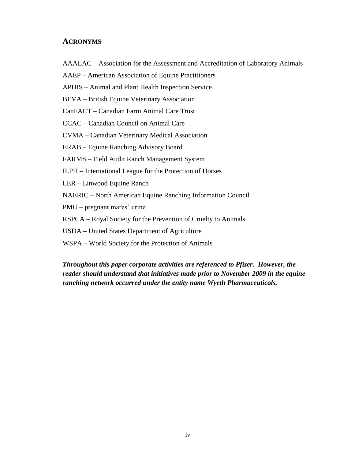#### **ACRONYMS**

- AAALAC Association for the Assessment and Accreditation of Laboratory Animals
- AAEP American Association of Equine Practitioners
- APHIS Animal and Plant Health Inspection Service
- BEVA British Equine Veterinary Association
- CanFACT Canadian Farm Animal Care Trust
- CCAC Canadian Council on Animal Care
- CVMA Canadian Veterinary Medical Association
- ERAB Equine Ranching Advisory Board
- FARMS Field Audit Ranch Management System
- ILPH International League for the Protection of Horses
- LER Linwood Equine Ranch
- NAERIC North American Equine Ranching Information Council
- PMU pregnant mares' urine
- RSPCA Royal Society for the Prevention of Cruelty to Animals
- USDA United States Department of Agriculture
- WSPA World Society for the Protection of Animals

*Throughout this paper corporate activities are referenced to Pfizer. However, the reader should understand that initiatives made prior to November 2009 in the equine ranching network occurred under the entity name Wyeth Pharmaceuticals.*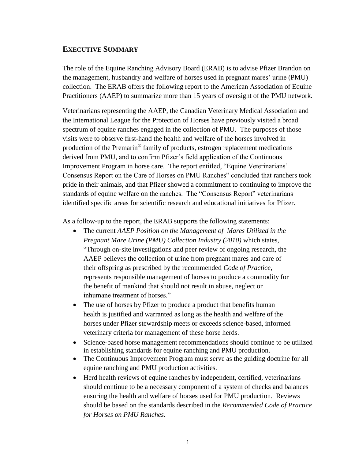# **EXECUTIVE SUMMARY**

The role of the Equine Ranching Advisory Board (ERAB) is to advise Pfizer Brandon on the management, husbandry and welfare of horses used in pregnant mares' urine (PMU) collection. The ERAB offers the following report to the American Association of Equine Practitioners (AAEP) to summarize more than 15 years of oversight of the PMU network.

Veterinarians representing the AAEP, the Canadian Veterinary Medical Association and the International League for the Protection of Horses have previously visited a broad spectrum of equine ranches engaged in the collection of PMU. The purposes of those visits were to observe first-hand the health and welfare of the horses involved in production of the Premarin® family of products, estrogen replacement medications derived from PMU, and to confirm Pfizer's field application of the Continuous Improvement Program in horse care. The report entitled, "Equine Veterinarians' Consensus Report on the Care of Horses on PMU Ranches" concluded that ranchers took pride in their animals, and that Pfizer showed a commitment to continuing to improve the standards of equine welfare on the ranches. The "Consensus Report" veterinarians identified specific areas for scientific research and educational initiatives for Pfizer.

As a follow-up to the report, the ERAB supports the following statements:

- The current *AAEP Position on the Management of Mares Utilized in the Pregnant Mare Urine (PMU) Collection Industry (2010)* which states, "Through on-site investigations and peer review of ongoing research, the AAEP believes the collection of urine from pregnant mares and care of their offspring as prescribed by the recommended *Code of Practice*, represents responsible management of horses to produce a commodity for the benefit of mankind that should not result in abuse, neglect or inhumane treatment of horses."
- The use of horses by Pfizer to produce a product that benefits human health is justified and warranted as long as the health and welfare of the horses under Pfizer stewardship meets or exceeds science-based, informed veterinary criteria for management of these horse herds.
- Science-based horse management recommendations should continue to be utilized in establishing standards for equine ranching and PMU production.
- The Continuous Improvement Program must serve as the guiding doctrine for all equine ranching and PMU production activities.
- Herd health reviews of equine ranches by independent, certified, veterinarians should continue to be a necessary component of a system of checks and balances ensuring the health and welfare of horses used for PMU production. Reviews should be based on the standards described in the *Recommended Code of Practice for Horses on PMU Ranches.*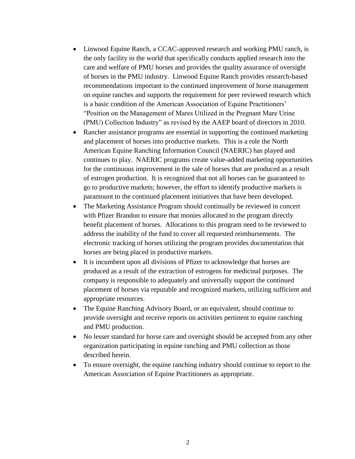- Linwood Equine Ranch, a CCAC-approved research and working PMU ranch, is the only facility in the world that specifically conducts applied research into the care and welfare of PMU horses and provides the quality assurance of oversight of horses in the PMU industry. Linwood Equine Ranch provides research-based recommendations important to the continued improvement of horse management on equine ranches and supports the requirement for peer reviewed research which is a basic condition of the American Association of Equine Practitioners' "Position on the Management of Mares Utilized in the Pregnant Mare Urine (PMU) Collection Industry" as revised by the AAEP board of directors in 2010.
- Rancher assistance programs are essential in supporting the continued marketing and placement of horses into productive markets. This is a role the North American Equine Ranching Information Council (NAERIC) has played and continues to play. NAERIC programs create value-added marketing opportunities for the continuous improvement in the sale of horses that are produced as a result of estrogen production. It is recognized that not all horses can be guaranteed to go to productive markets; however, the effort to identify productive markets is paramount to the continued placement initiatives that have been developed.
- The Marketing Assistance Program should continually be reviewed in concert with Pfizer Brandon to ensure that monies allocated to the program directly benefit placement of horses. Allocations to this program need to be reviewed to address the inability of the fund to cover all requested reimbursements. The electronic tracking of horses utilizing the program provides documentation that horses are being placed in productive markets.
- It is incumbent upon all divisions of Pfizer to acknowledge that horses are produced as a result of the extraction of estrogens for medicinal purposes. The company is responsible to adequately and universally support the continued placement of horses via reputable and recognized markets, utilizing sufficient and appropriate resources.
- The Equine Ranching Advisory Board, or an equivalent, should continue to provide oversight and receive reports on activities pertinent to equine ranching and PMU production.
- No lesser standard for horse care and oversight should be accepted from any other organization participating in equine ranching and PMU collection as those described herein.
- To ensure oversight, the equine ranching industry should continue to report to the American Association of Equine Practitioners as appropriate.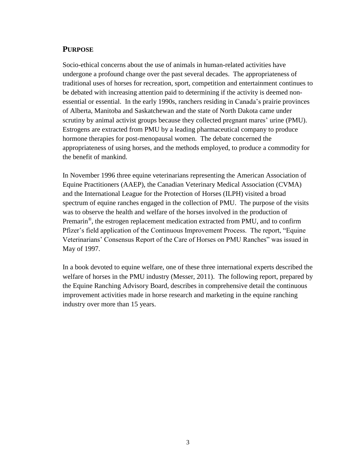# **PURPOSE**

Socio-ethical concerns about the use of animals in human-related activities have undergone a profound change over the past several decades. The appropriateness of traditional uses of horses for recreation, sport, competition and entertainment continues to be debated with increasing attention paid to determining if the activity is deemed nonessential or essential. In the early 1990s, ranchers residing in Canada's prairie provinces of Alberta, Manitoba and Saskatchewan and the state of North Dakota came under scrutiny by animal activist groups because they collected pregnant mares' urine (PMU). Estrogens are extracted from PMU by a leading pharmaceutical company to produce hormone therapies for post-menopausal women. The debate concerned the appropriateness of using horses, and the methods employed, to produce a commodity for the benefit of mankind.

In November 1996 three equine veterinarians representing the American Association of Equine Practitioners (AAEP), the Canadian Veterinary Medical Association (CVMA) and the International League for the Protection of Horses (ILPH) visited a broad spectrum of equine ranches engaged in the collection of PMU. The purpose of the visits was to observe the health and welfare of the horses involved in the production of Premarin<sup>®</sup>, the estrogen replacement medication extracted from PMU, and to confirm Pfizer's field application of the Continuous Improvement Process. The report, "Equine Veterinarians' Consensus Report of the Care of Horses on PMU Ranches" was issued in May of 1997.

In a book devoted to equine welfare, one of these three international experts described the welfare of horses in the PMU industry (Messer, 2011). The following report, prepared by the Equine Ranching Advisory Board, describes in comprehensive detail the continuous improvement activities made in horse research and marketing in the equine ranching industry over more than 15 years.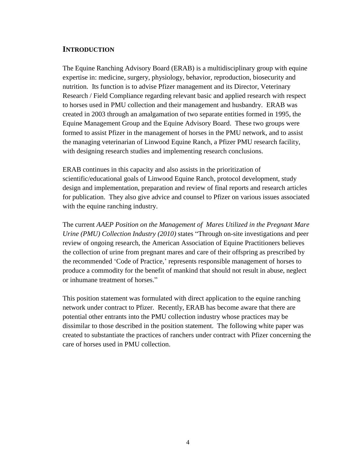# **INTRODUCTION**

The Equine Ranching Advisory Board (ERAB) is a multidisciplinary group with equine expertise in: medicine, surgery, physiology, behavior, reproduction, biosecurity and nutrition. Its function is to advise Pfizer management and its Director, Veterinary Research / Field Compliance regarding relevant basic and applied research with respect to horses used in PMU collection and their management and husbandry. ERAB was created in 2003 through an amalgamation of two separate entities formed in 1995, the Equine Management Group and the Equine Advisory Board. These two groups were formed to assist Pfizer in the management of horses in the PMU network, and to assist the managing veterinarian of Linwood Equine Ranch, a Pfizer PMU research facility, with designing research studies and implementing research conclusions.

ERAB continues in this capacity and also assists in the prioritization of scientific/educational goals of Linwood Equine Ranch, protocol development, study design and implementation, preparation and review of final reports and research articles for publication. They also give advice and counsel to Pfizer on various issues associated with the equine ranching industry.

The current *AAEP Position on the Management of Mares Utilized in the Pregnant Mare Urine (PMU) Collection Industry (2010)* states "Through on-site investigations and peer review of ongoing research, the American Association of Equine Practitioners believes the collection of urine from pregnant mares and care of their offspring as prescribed by the recommended 'Code of Practice,' represents responsible management of horses to produce a commodity for the benefit of mankind that should not result in abuse, neglect or inhumane treatment of horses."

This position statement was formulated with direct application to the equine ranching network under contract to Pfizer. Recently, ERAB has become aware that there are potential other entrants into the PMU collection industry whose practices may be dissimilar to those described in the position statement. The following white paper was created to substantiate the practices of ranchers under contract with Pfizer concerning the care of horses used in PMU collection.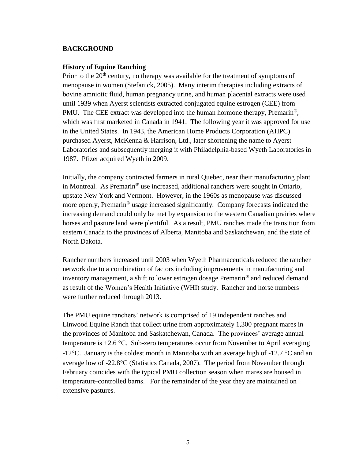#### **BACKGROUND**

#### **History of Equine Ranching**

Prior to the  $20<sup>th</sup>$  century, no therapy was available for the treatment of symptoms of menopause in women (Stefanick, 2005). Many interim therapies including extracts of bovine amniotic fluid, human pregnancy urine, and human placental extracts were used until 1939 when Ayerst scientists extracted conjugated equine estrogen (CEE) from PMU. The CEE extract was developed into the human hormone therapy, Premarin<sup>®</sup>, which was first marketed in Canada in 1941. The following year it was approved for use in the United States. In 1943, the American Home Products Corporation (AHPC) purchased Ayerst, McKenna & Harrison, Ltd., later shortening the name to Ayerst Laboratories and subsequently merging it with Philadelphia-based Wyeth Laboratories in 1987. Pfizer acquired Wyeth in 2009.

Initially, the company contracted farmers in rural Quebec, near their manufacturing plant in Montreal. As Premarin® use increased, additional ranchers were sought in Ontario, upstate New York and Vermont. However, in the 1960s as menopause was discussed more openly, Premarin® usage increased significantly. Company forecasts indicated the increasing demand could only be met by expansion to the western Canadian prairies where horses and pasture land were plentiful. As a result, PMU ranches made the transition from eastern Canada to the provinces of Alberta, Manitoba and Saskatchewan, and the state of North Dakota.

Rancher numbers increased until 2003 when Wyeth Pharmaceuticals reduced the rancher network due to a combination of factors including improvements in manufacturing and inventory management, a shift to lower estrogen dosage Premarin® and reduced demand as result of the Women's Health Initiative (WHI) study. Rancher and horse numbers were further reduced through 2013.

The PMU equine ranchers' network is comprised of 19 independent ranches and Linwood Equine Ranch that collect urine from approximately 1,300 pregnant mares in the provinces of Manitoba and Saskatchewan, Canada. The provinces' average annual temperature is  $+2.6$  °C. Sub-zero temperatures occur from November to April averaging -12<sup>o</sup>C. January is the coldest month in Manitoba with an average high of -12.7 <sup>o</sup>C and an average low of  $-22.8^{\circ}$ C (Statistics Canada, 2007). The period from November through February coincides with the typical PMU collection season when mares are housed in temperature-controlled barns. For the remainder of the year they are maintained on extensive pastures.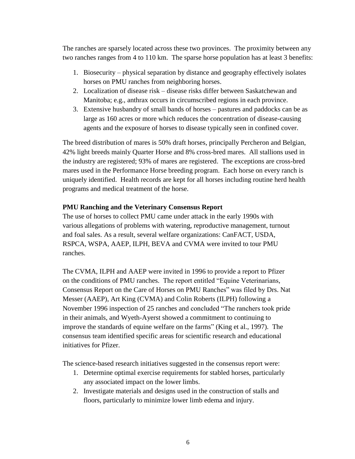The ranches are sparsely located across these two provinces. The proximity between any two ranches ranges from 4 to 110 km. The sparse horse population has at least 3 benefits:

- 1. Biosecurity physical separation by distance and geography effectively isolates horses on PMU ranches from neighboring horses.
- 2. Localization of disease risk disease risks differ between Saskatchewan and Manitoba; e.g., anthrax occurs in circumscribed regions in each province.
- 3. Extensive husbandry of small bands of horses pastures and paddocks can be as large as 160 acres or more which reduces the concentration of disease-causing agents and the exposure of horses to disease typically seen in confined cover.

The breed distribution of mares is 50% draft horses, principally Percheron and Belgian, 42% light breeds mainly Quarter Horse and 8% cross-bred mares. All stallions used in the industry are registered; 93% of mares are registered. The exceptions are cross-bred mares used in the Performance Horse breeding program. Each horse on every ranch is uniquely identified. Health records are kept for all horses including routine herd health programs and medical treatment of the horse.

# **PMU Ranching and the Veterinary Consensus Report**

The use of horses to collect PMU came under attack in the early 1990s with various allegations of problems with watering, reproductive management, turnout and foal sales. As a result, several welfare organizations: CanFACT, USDA, RSPCA, WSPA, AAEP, ILPH, BEVA and CVMA were invited to tour PMU ranches.

The CVMA, ILPH and AAEP were invited in 1996 to provide a report to Pfizer on the conditions of PMU ranches. The report entitled "Equine Veterinarians, Consensus Report on the Care of Horses on PMU Ranches" was filed by Drs. Nat Messer (AAEP), Art King (CVMA) and Colin Roberts (ILPH) following a November 1996 inspection of 25 ranches and concluded "The ranchers took pride in their animals, and Wyeth-Ayerst showed a commitment to continuing to improve the standards of equine welfare on the farms" (King et al., 1997). The consensus team identified specific areas for scientific research and educational initiatives for Pfizer.

The science-based research initiatives suggested in the consensus report were:

- 1. Determine optimal exercise requirements for stabled horses, particularly any associated impact on the lower limbs.
- 2. Investigate materials and designs used in the construction of stalls and floors, particularly to minimize lower limb edema and injury.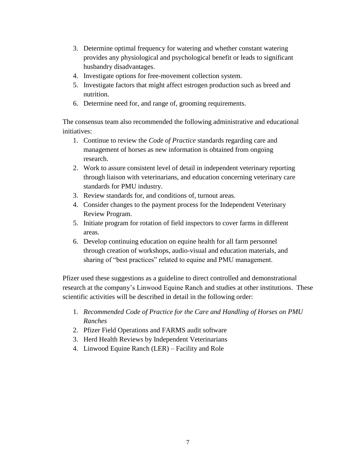- 3. Determine optimal frequency for watering and whether constant watering provides any physiological and psychological benefit or leads to significant husbandry disadvantages.
- 4. Investigate options for free-movement collection system.
- 5. Investigate factors that might affect estrogen production such as breed and nutrition.
- 6. Determine need for, and range of, grooming requirements.

The consensus team also recommended the following administrative and educational initiatives:

- 1. Continue to review the *Code of Practice* standards regarding care and management of horses as new information is obtained from ongoing research.
- 2. Work to assure consistent level of detail in independent veterinary reporting through liaison with veterinarians, and education concerning veterinary care standards for PMU industry.
- 3. Review standards for, and conditions of, turnout areas.
- 4. Consider changes to the payment process for the Independent Veterinary Review Program.
- 5. Initiate program for rotation of field inspectors to cover farms in different areas.
- 6. Develop continuing education on equine health for all farm personnel through creation of workshops, audio-visual and education materials, and sharing of "best practices" related to equine and PMU management.

Pfizer used these suggestions as a guideline to direct controlled and demonstrational research at the company's Linwood Equine Ranch and studies at other institutions. These scientific activities will be described in detail in the following order:

- 1. *Recommended Code of Practice for the Care and Handling of Horses on PMU Ranches*
- 2. Pfizer Field Operations and FARMS audit software
- 3. Herd Health Reviews by Independent Veterinarians
- 4. Linwood Equine Ranch (LER) Facility and Role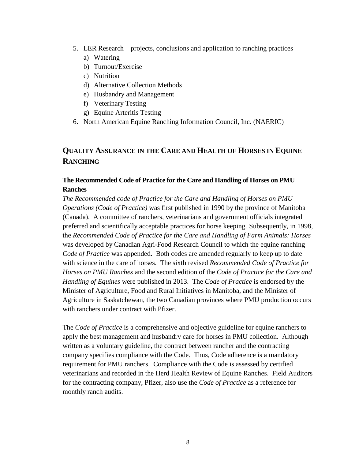- 5. LER Research projects, conclusions and application to ranching practices
	- a) Watering
	- b) Turnout/Exercise
	- c) Nutrition
	- d) Alternative Collection Methods
	- e) Husbandry and Management
	- f) Veterinary Testing
	- g) Equine Arteritis Testing
- 6. North American Equine Ranching Information Council, Inc. (NAERIC)

# **QUALITY ASSURANCE IN THE CARE AND HEALTH OF HORSES IN EQUINE RANCHING**

# **The Recommended Code of Practice for the Care and Handling of Horses on PMU Ranches**

*The Recommended code of Practice for the Care and Handling of Horses on PMU Operations (Code of Practice)* was first published in 1990 by the province of Manitoba (Canada). A committee of ranchers, veterinarians and government officials integrated preferred and scientifically acceptable practices for horse keeping. Subsequently, in 1998, the *Recommended Code of Practice for the Care and Handling of Farm Animals: Horses*  was developed by Canadian Agri-Food Research Council to which the equine ranching *Code of Practice* was appended. Both codes are amended regularly to keep up to date with science in the care of horses. The sixth revised *Recommended Code of Practice for Horses on PMU Ranches* and the second edition of the *Code of Practice for the Care and Handling of Equines* were published in 2013. The *Code of Practice* is endorsed by the Minister of Agriculture, Food and Rural Initiatives in Manitoba, and the Minister of Agriculture in Saskatchewan, the two Canadian provinces where PMU production occurs with ranchers under contract with Pfizer.

The *Code of Practice* is a comprehensive and objective guideline for equine ranchers to apply the best management and husbandry care for horses in PMU collection. Although written as a voluntary guideline, the contract between rancher and the contracting company specifies compliance with the Code. Thus, Code adherence is a mandatory requirement for PMU ranchers. Compliance with the Code is assessed by certified veterinarians and recorded in the Herd Health Review of Equine Ranches. Field Auditors for the contracting company, Pfizer, also use the *Code of Practice* as a reference for monthly ranch audits.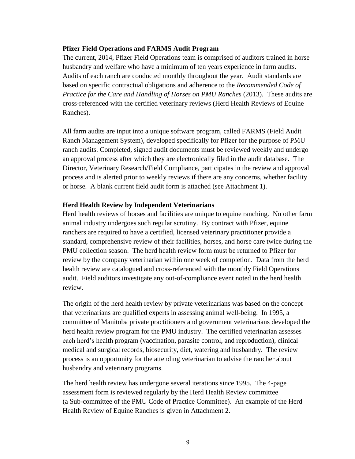#### **Pfizer Field Operations and FARMS Audit Program**

The current, 2014, Pfizer Field Operations team is comprised of auditors trained in horse husbandry and welfare who have a minimum of ten years experience in farm audits. Audits of each ranch are conducted monthly throughout the year. Audit standards are based on specific contractual obligations and adherence to the *Recommended Code of Practice for the Care and Handling of Horses on PMU Ranches (2013). These audits are* cross-referenced with the certified veterinary reviews (Herd Health Reviews of Equine Ranches).

All farm audits are input into a unique software program, called FARMS (Field Audit Ranch Management System), developed specifically for Pfizer for the purpose of PMU ranch audits. Completed, signed audit documents must be reviewed weekly and undergo an approval process after which they are electronically filed in the audit database. The Director, Veterinary Research/Field Compliance, participates in the review and approval process and is alerted prior to weekly reviews if there are any concerns, whether facility or horse. A blank current field audit form is attached (see Attachment 1).

#### **Herd Health Review by Independent Veterinarians**

Herd health reviews of horses and facilities are unique to equine ranching. No other farm animal industry undergoes such regular scrutiny. By contract with Pfizer, equine ranchers are required to have a certified, licensed veterinary practitioner provide a standard, comprehensive review of their facilities, horses, and horse care twice during the PMU collection season. The herd health review form must be returned to Pfizer for review by the company veterinarian within one week of completion. Data from the herd health review are catalogued and cross-referenced with the monthly Field Operations audit. Field auditors investigate any out-of-compliance event noted in the herd health review.

The origin of the herd health review by private veterinarians was based on the concept that veterinarians are qualified experts in assessing animal well-being. In 1995, a committee of Manitoba private practitioners and government veterinarians developed the herd health review program for the PMU industry. The certified veterinarian assesses each herd's health program (vaccination, parasite control, and reproduction), clinical medical and surgical records, biosecurity, diet, watering and husbandry. The review process is an opportunity for the attending veterinarian to advise the rancher about husbandry and veterinary programs.

The herd health review has undergone several iterations since 1995. The 4-page assessment form is reviewed regularly by the Herd Health Review committee (a Sub-committee of the PMU Code of Practice Committee). An example of the Herd Health Review of Equine Ranches is given in Attachment 2.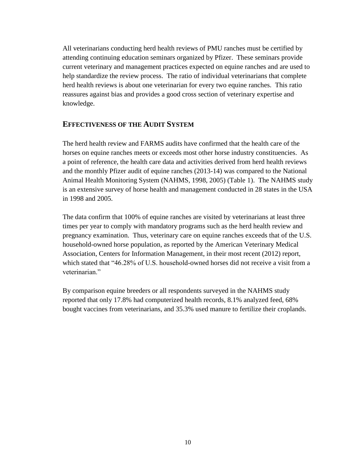All veterinarians conducting herd health reviews of PMU ranches must be certified by attending continuing education seminars organized by Pfizer. These seminars provide current veterinary and management practices expected on equine ranches and are used to help standardize the review process. The ratio of individual veterinarians that complete herd health reviews is about one veterinarian for every two equine ranches. This ratio reassures against bias and provides a good cross section of veterinary expertise and knowledge.

# **EFFECTIVENESS OF THE AUDIT SYSTEM**

The herd health review and FARMS audits have confirmed that the health care of the horses on equine ranches meets or exceeds most other horse industry constituencies. As a point of reference, the health care data and activities derived from herd health reviews and the monthly Pfizer audit of equine ranches (2013-14) was compared to the National Animal Health Monitoring System (NAHMS, 1998, 2005) (Table 1). The NAHMS study is an extensive survey of horse health and management conducted in 28 states in the USA in 1998 and 2005.

The data confirm that 100% of equine ranches are visited by veterinarians at least three times per year to comply with mandatory programs such as the herd health review and pregnancy examination. Thus, veterinary care on equine ranches exceeds that of the U.S. household-owned horse population, as reported by the American Veterinary Medical Association, Centers for Information Management, in their most recent (2012) report, which stated that "46.28% of U.S. household-owned horses did not receive a visit from a veterinarian<sup>"</sup>

By comparison equine breeders or all respondents surveyed in the NAHMS study reported that only 17.8% had computerized health records, 8.1% analyzed feed, 68% bought vaccines from veterinarians, and 35.3% used manure to fertilize their croplands.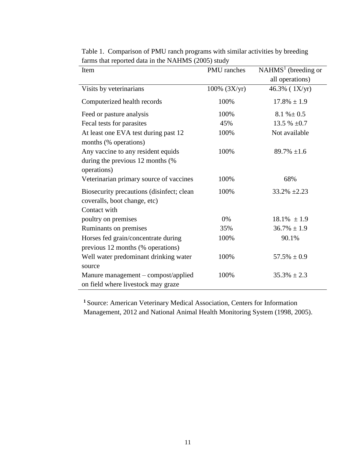| Item                                                                      | PMU ranches       | $NAHMS1$ (breeding or         |
|---------------------------------------------------------------------------|-------------------|-------------------------------|
|                                                                           |                   | all operations)               |
| Visits by veterinarians                                                   | $100\%$ $(3X/yr)$ | $46.3\%$ ( $1{\text{X}}/yr$ ) |
| Computerized health records                                               | 100%              | $17.8\% \pm 1.9$              |
| Feed or pasture analysis                                                  | 100%              | $8.1 \% \pm 0.5$              |
| Fecal tests for parasites                                                 | 45%               | 13.5 % $\pm 0.7$              |
| At least one EVA test during past 12                                      | 100%              | Not available                 |
| months (% operations)                                                     |                   |                               |
| Any vaccine to any resident equids                                        | 100%              | $89.7\% \pm 1.6$              |
| during the previous 12 months (%                                          |                   |                               |
| operations)                                                               |                   |                               |
| Veterinarian primary source of vaccines                                   | 100%              | 68%                           |
| Biosecurity precautions (disinfect; clean                                 | 100%              | $33.2\% \pm 2.23$             |
| coveralls, boot change, etc)                                              |                   |                               |
| Contact with                                                              |                   |                               |
| poultry on premises                                                       | 0%                | $18.1\% \pm 1.9$              |
| Ruminants on premises                                                     | 35%               | $36.7\% \pm 1.9$              |
| Horses fed grain/concentrate during                                       | 100%              | 90.1%                         |
| previous 12 months (% operations)                                         |                   |                               |
| Well water predominant drinking water                                     | 100%              | $57.5\% \pm 0.9$              |
| source                                                                    |                   |                               |
| Manure management - compost/applied<br>on field where livestock may graze | 100%              | $35.3\% \pm 2.3$              |

Table 1. Comparison of PMU ranch programs with similar activities by breeding farms that reported data in the NAHMS (2005) study

**<sup>1</sup>** Source: American Veterinary Medical Association, Centers for Information Management, 2012 and National Animal Health Monitoring System (1998, 2005).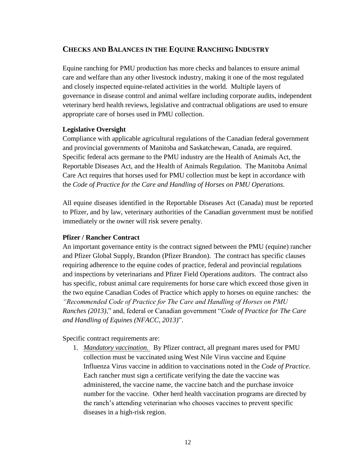# **CHECKS AND BALANCES IN THE EQUINE RANCHING INDUSTRY**

Equine ranching for PMU production has more checks and balances to ensure animal care and welfare than any other livestock industry, making it one of the most regulated and closely inspected equine-related activities in the world. Multiple layers of governance in disease control and animal welfare including corporate audits, independent veterinary herd health reviews, legislative and contractual obligations are used to ensure appropriate care of horses used in PMU collection.

# **Legislative Oversight**

Compliance with applicable agricultural regulations of the Canadian federal government and provincial governments of Manitoba and Saskatchewan, Canada, are required. Specific federal acts germane to the PMU industry are the Health of Animals Act, the Reportable Diseases Act, and the Health of Animals Regulation. The Manitoba Animal Care Act requires that horses used for PMU collection must be kept in accordance with the *Code of Practice for the Care and Handling of Horses on PMU Operations.* 

All equine diseases identified in the Reportable Diseases Act (Canada) must be reported to Pfizer, and by law, veterinary authorities of the Canadian government must be notified immediately or the owner will risk severe penalty.

# **Pfizer / Rancher Contract**

An important governance entity is the contract signed between the PMU (equine) rancher and Pfizer Global Supply, Brandon (Pfizer Brandon). The contract has specific clauses requiring adherence to the equine codes of practice, federal and provincial regulations and inspections by veterinarians and Pfizer Field Operations auditors. The contract also has specific, robust animal care requirements for horse care which exceed those given in the two equine Canadian Codes of Practice which apply to horses on equine ranches: the *"Recommended Code of Practice for The Care and Handling of Horses on PMU Ranches (2013)*," and, federal or Canadian government "*Code of Practice for The Care and Handling of Equines (NFACC, 2013)*".

Specific contract requirements are:

1. *Mandatory vaccination.* By Pfizer contract, all pregnant mares used for PMU collection must be vaccinated using West Nile Virus vaccine and Equine Influenza Virus vaccine in addition to vaccinations noted in the *Code of Practice*. Each rancher must sign a certificate verifying the date the vaccine was administered, the vaccine name, the vaccine batch and the purchase invoice number for the vaccine. Other herd health vaccination programs are directed by the ranch's attending veterinarian who chooses vaccines to prevent specific diseases in a high-risk region.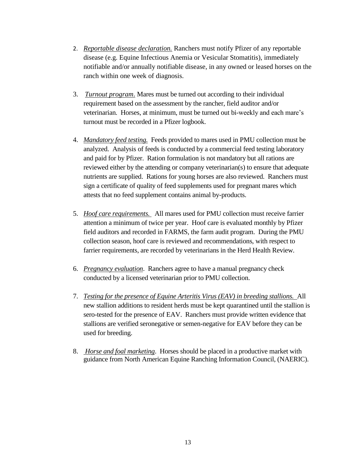- 2. *Reportable disease declaration.* Ranchers must notify Pfizer of any reportable disease (e.g. Equine Infectious Anemia or Vesicular Stomatitis), immediately notifiable and/or annually notifiable disease, in any owned or leased horses on the ranch within one week of diagnosis.
- 3. *Turnout program*. Mares must be turned out according to their individual requirement based on the assessment by the rancher, field auditor and/or veterinarian. Horses, at minimum, must be turned out bi-weekly and each mare's turnout must be recorded in a Pfizer logbook.
- 4. *Mandatory feed testing.* Feeds provided to mares used in PMU collection must be analyzed. Analysis of feeds is conducted by a commercial feed testing laboratory and paid for by Pfizer. Ration formulation is not mandatory but all rations are reviewed either by the attending or company veterinarian(s) to ensure that adequate nutrients are supplied. Rations for young horses are also reviewed. Ranchers must sign a certificate of quality of feed supplements used for pregnant mares which attests that no feed supplement contains animal by-products.
- 5. *Hoof care requirements.* All mares used for PMU collection must receive farrier attention a minimum of twice per year. Hoof care is evaluated monthly by Pfizer field auditors and recorded in FARMS, the farm audit program. During the PMU collection season, hoof care is reviewed and recommendations, with respect to farrier requirements, are recorded by veterinarians in the Herd Health Review.
- 6. *Pregnancy evaluation*. Ranchers agree to have a manual pregnancy check conducted by a licensed veterinarian prior to PMU collection.
- 7. *Testing for the presence of Equine Arteritis Virus (EAV) in breeding stallions.* All new stallion additions to resident herds must be kept quarantined until the stallion is sero-tested for the presence of EAV. Ranchers must provide written evidence that stallions are verified seronegative or semen-negative for EAV before they can be used for breeding.
- 8. *Horse and foal marketing*. Horses should be placed in a productive market with guidance from North American Equine Ranching Information Council, (NAERIC).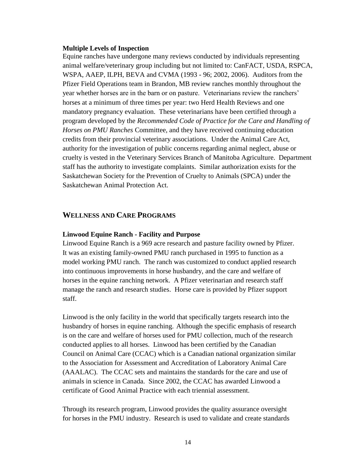#### **Multiple Levels of Inspection**

Equine ranches have undergone many reviews conducted by individuals representing animal welfare/veterinary group including but not limited to: CanFACT, USDA, RSPCA, WSPA, AAEP, ILPH, BEVA and CVMA (1993 - 96; 2002, 2006). Auditors from the Pfizer Field Operations team in Brandon, MB review ranches monthly throughout the year whether horses are in the barn or on pasture. Veterinarians review the ranchers' horses at a minimum of three times per year: two Herd Health Reviews and one mandatory pregnancy evaluation. These veterinarians have been certified through a program developed by the *Recommended Code of Practice for the Care and Handling of Horses on PMU Ranches* Committee, and they have received continuing education credits from their provincial veterinary associations. Under the Animal Care Act, authority for the investigation of public concerns regarding animal neglect, abuse or cruelty is vested in the Veterinary Services Branch of Manitoba Agriculture. Department staff has the authority to investigate complaints. Similar authorization exists for the Saskatchewan Society for the Prevention of Cruelty to Animals (SPCA) under the Saskatchewan Animal Protection Act.

#### **WELLNESS AND CARE PROGRAMS**

#### **Linwood Equine Ranch - Facility and Purpose**

Linwood Equine Ranch is a 969 acre research and pasture facility owned by Pfizer. It was an existing family-owned PMU ranch purchased in 1995 to function as a model working PMU ranch. The ranch was customized to conduct applied research into continuous improvements in horse husbandry, and the care and welfare of horses in the equine ranching network. A Pfizer veterinarian and research staff manage the ranch and research studies. Horse care is provided by Pfizer support staff.

Linwood is the only facility in the world that specifically targets research into the husbandry of horses in equine ranching. Although the specific emphasis of research is on the care and welfare of horses used for PMU collection, much of the research conducted applies to all horses. Linwood has been certified by the Canadian Council on Animal Care (CCAC) which is a Canadian national organization similar to the Association for Assessment and Accreditation of Laboratory Animal Care (AAALAC). The CCAC sets and maintains the standards for the care and use of animals in science in Canada. Since 2002, the CCAC has awarded Linwood a certificate of Good Animal Practice with each triennial assessment.

Through its research program, Linwood provides the quality assurance oversight for horses in the PMU industry. Research is used to validate and create standards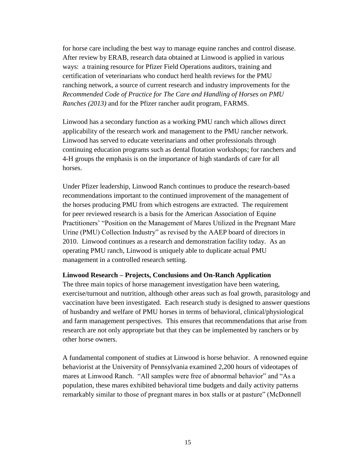for horse care including the best way to manage equine ranches and control disease. After review by ERAB, research data obtained at Linwood is applied in various ways: a training resource for Pfizer Field Operations auditors, training and certification of veterinarians who conduct herd health reviews for the PMU ranching network, a source of current research and industry improvements for the *Recommended Code of Practice for The Care and Handling of Horses on PMU Ranches (2013)* and for the Pfizer rancher audit program, FARMS.

Linwood has a secondary function as a working PMU ranch which allows direct applicability of the research work and management to the PMU rancher network. Linwood has served to educate veterinarians and other professionals through continuing education programs such as dental flotation workshops; for ranchers and 4-H groups the emphasis is on the importance of high standards of care for all horses.

Under Pfizer leadership, Linwood Ranch continues to produce the research-based recommendations important to the continued improvement of the management of the horses producing PMU from which estrogens are extracted. The requirement for peer reviewed research is a basis for the American Association of Equine Practitioners' "Position on the Management of Mares Utilized in the Pregnant Mare Urine (PMU) Collection Industry" as revised by the AAEP board of directors in 2010. Linwood continues as a research and demonstration facility today. As an operating PMU ranch, Linwood is uniquely able to duplicate actual PMU management in a controlled research setting.

#### **Linwood Research – Projects, Conclusions and On-Ranch Application**

The three main topics of horse management investigation have been watering, exercise/turnout and nutrition, although other areas such as foal growth, parasitology and vaccination have been investigated. Each research study is designed to answer questions of husbandry and welfare of PMU horses in terms of behavioral, clinical/physiological and farm management perspectives. This ensures that recommendations that arise from research are not only appropriate but that they can be implemented by ranchers or by other horse owners.

A fundamental component of studies at Linwood is horse behavior. A renowned equine behaviorist at the University of Pennsylvania examined 2,200 hours of videotapes of mares at Linwood Ranch. "All samples were free of abnormal behavior" and "As a population, these mares exhibited behavioral time budgets and daily activity patterns remarkably similar to those of pregnant mares in box stalls or at pasture" (McDonnell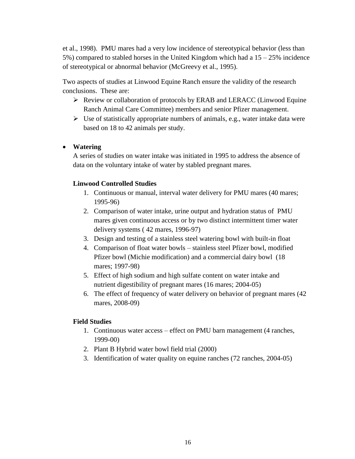et al., 1998). PMU mares had a very low incidence of stereotypical behavior (less than 5%) compared to stabled horses in the United Kingdom which had a  $15 - 25\%$  incidence of stereotypical or abnormal behavior (McGreevy et al., 1995).

Two aspects of studies at Linwood Equine Ranch ensure the validity of the research conclusions. These are:

- $\triangleright$  Review or collaboration of protocols by ERAB and LERACC (Linwood Equine Ranch Animal Care Committee) members and senior Pfizer management.
- $\triangleright$  Use of statistically appropriate numbers of animals, e.g., water intake data were based on 18 to 42 animals per study.

# **Watering**

A series of studies on water intake was initiated in 1995 to address the absence of data on the voluntary intake of water by stabled pregnant mares.

# **Linwood Controlled Studies**

- 1. Continuous or manual, interval water delivery for PMU mares (40 mares; 1995-96)
- 2. Comparison of water intake, urine output and hydration status of PMU mares given continuous access or by two distinct intermittent timer water delivery systems ( 42 mares, 1996-97)
- 3. Design and testing of a stainless steel watering bowl with built-in float
- 4. Comparison of float water bowls stainless steel Pfizer bowl, modified Pfizer bowl (Michie modification) and a commercial dairy bowl (18 mares; 1997-98)
- 5. Effect of high sodium and high sulfate content on water intake and nutrient digestibility of pregnant mares (16 mares; 2004-05)
- 6. The effect of frequency of water delivery on behavior of pregnant mares (42 mares, 2008-09)

# **Field Studies**

- 1. Continuous water access effect on PMU barn management (4 ranches, 1999-00)
- 2. Plant B Hybrid water bowl field trial (2000)
- 3. Identification of water quality on equine ranches (72 ranches, 2004-05)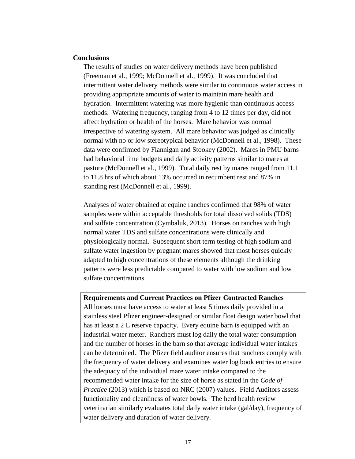#### **Conclusions**

The results of studies on water delivery methods have been published (Freeman et al., 1999; McDonnell et al., 1999). It was concluded that intermittent water delivery methods were similar to continuous water access in providing appropriate amounts of water to maintain mare health and hydration. Intermittent watering was more hygienic than continuous access methods. Watering frequency, ranging from 4 to 12 times per day, did not affect hydration or health of the horses. Mare behavior was normal irrespective of watering system. All mare behavior was judged as clinically normal with no or low stereotypical behavior (McDonnell et al., 1998). These data were confirmed by Flannigan and Stookey (2002). Mares in PMU barns had behavioral time budgets and daily activity patterns similar to mares at pasture (McDonnell et al., 1999). Total daily rest by mares ranged from 11.1 to 11.8 hrs of which about 13% occurred in recumbent rest and 87% in standing rest (McDonnell et al., 1999).

Analyses of water obtained at equine ranches confirmed that 98% of water samples were within acceptable thresholds for total dissolved solids (TDS) and sulfate concentration (Cymbaluk, 2013). Horses on ranches with high normal water TDS and sulfate concentrations were clinically and physiologically normal. Subsequent short term testing of high sodium and sulfate water ingestion by pregnant mares showed that most horses quickly adapted to high concentrations of these elements although the drinking patterns were less predictable compared to water with low sodium and low sulfate concentrations.

#### **Requirements and Current Practices on Pfizer Contracted Ranches**

All horses must have access to water at least 5 times daily provided in a stainless steel Pfizer engineer-designed or similar float design water bowl that has at least a 2 L reserve capacity. Every equine barn is equipped with an industrial water meter. Ranchers must log daily the total water consumption and the number of horses in the barn so that average individual water intakes can be determined. The Pfizer field auditor ensures that ranchers comply with the frequency of water delivery and examines water log book entries to ensure the adequacy of the individual mare water intake compared to the recommended water intake for the size of horse as stated in the *Code of Practice* (2013) which is based on NRC (2007) values. Field Auditors assess functionality and cleanliness of water bowls. The herd health review veterinarian similarly evaluates total daily water intake (gal/day), frequency of water delivery and duration of water delivery.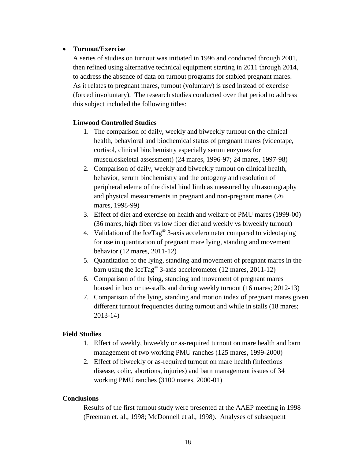## **Turnout/Exercise**

A series of studies on turnout was initiated in 1996 and conducted through 2001, then refined using alternative technical equipment starting in 2011 through 2014, to address the absence of data on turnout programs for stabled pregnant mares. As it relates to pregnant mares, turnout (voluntary) is used instead of exercise (forced involuntary). The research studies conducted over that period to address this subject included the following titles:

# **Linwood Controlled Studies**

- 1. The comparison of daily, weekly and biweekly turnout on the clinical health, behavioral and biochemical status of pregnant mares (videotape, cortisol, clinical biochemistry especially serum enzymes for musculoskeletal assessment) (24 mares, 1996-97; 24 mares, 1997-98)
- 2. Comparison of daily, weekly and biweekly turnout on clinical health, behavior, serum biochemistry and the ontogeny and resolution of peripheral edema of the distal hind limb as measured by ultrasonography and physical measurements in pregnant and non-pregnant mares (26 mares, 1998-99)
- 3. Effect of diet and exercise on health and welfare of PMU mares (1999-00) (36 mares, high fiber vs low fiber diet and weekly vs biweekly turnout)
- 4. Validation of the IceTag® 3-axis accelerometer compared to videotaping for use in quantitation of pregnant mare lying, standing and movement behavior (12 mares, 2011-12)
- 5. Quantitation of the lying, standing and movement of pregnant mares in the barn using the IceTag® 3-axis accelerometer (12 mares, 2011-12)
- 6. Comparison of the lying, standing and movement of pregnant mares housed in box or tie-stalls and during weekly turnout (16 mares; 2012-13)
- 7. Comparison of the lying, standing and motion index of pregnant mares given different turnout frequencies during turnout and while in stalls (18 mares; 2013-14)

# **Field Studies**

- 1. Effect of weekly, biweekly or as-required turnout on mare health and barn management of two working PMU ranches (125 mares, 1999-2000)
- 2. Effect of biweekly or as-required turnout on mare health (infectious disease, colic, abortions, injuries) and barn management issues of 34 working PMU ranches (3100 mares, 2000-01)

# **Conclusions**

Results of the first turnout study were presented at the AAEP meeting in 1998 (Freeman et. al., 1998; McDonnell et al., 1998). Analyses of subsequent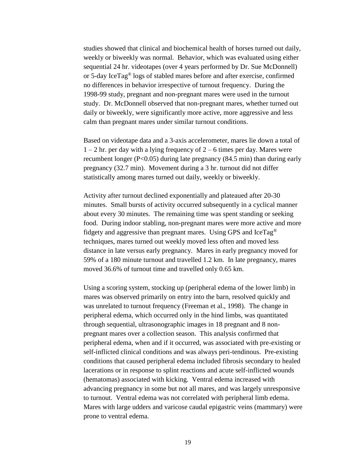studies showed that clinical and biochemical health of horses turned out daily, weekly or biweekly was normal. Behavior, which was evaluated using either sequential 24 hr. videotapes (over 4 years performed by Dr. Sue McDonnell) or 5-day IceTag® logs of stabled mares before and after exercise, confirmed no differences in behavior irrespective of turnout frequency. During the 1998-99 study, pregnant and non-pregnant mares were used in the turnout study. Dr. McDonnell observed that non-pregnant mares, whether turned out daily or biweekly, were significantly more active, more aggressive and less calm than pregnant mares under similar turnout conditions.

Based on videotape data and a 3-axis accelerometer, mares lie down a total of  $1 - 2$  hr. per day with a lying frequency of  $2 - 6$  times per day. Mares were recumbent longer (P<0.05) during late pregnancy (84.5 min) than during early pregnancy (32.7 min). Movement during a 3 hr. turnout did not differ statistically among mares turned out daily, weekly or biweekly.

Activity after turnout declined exponentially and plateaued after 20-30 minutes. Small bursts of activity occurred subsequently in a cyclical manner about every 30 minutes. The remaining time was spent standing or seeking food. During indoor stabling, non-pregnant mares were more active and more fidgety and aggressive than pregnant mares. Using GPS and IceTag® techniques, mares turned out weekly moved less often and moved less distance in late versus early pregnancy. Mares in early pregnancy moved for 59% of a 180 minute turnout and travelled 1.2 km. In late pregnancy, mares moved 36.6% of turnout time and travelled only 0.65 km.

Using a scoring system, stocking up (peripheral edema of the lower limb) in mares was observed primarily on entry into the barn, resolved quickly and was unrelated to turnout frequency (Freeman et al., 1998). The change in peripheral edema, which occurred only in the hind limbs, was quantitated through sequential, ultrasonographic images in 18 pregnant and 8 nonpregnant mares over a collection season. This analysis confirmed that peripheral edema, when and if it occurred, was associated with pre-existing or self-inflicted clinical conditions and was always peri-tendinous. Pre-existing conditions that caused peripheral edema included fibrosis secondary to healed lacerations or in response to splint reactions and acute self-inflicted wounds (hematomas) associated with kicking. Ventral edema increased with advancing pregnancy in some but not all mares, and was largely unresponsive to turnout. Ventral edema was not correlated with peripheral limb edema. Mares with large udders and varicose caudal epigastric veins (mammary) were prone to ventral edema.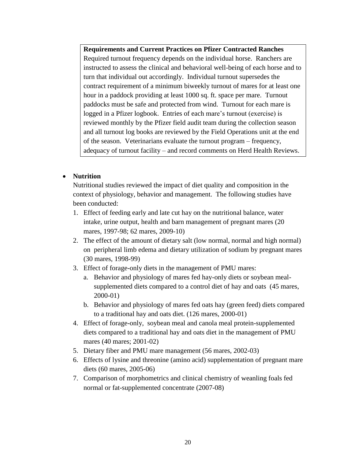**Requirements and Current Practices on Pfizer Contracted Ranches**  Required turnout frequency depends on the individual horse. Ranchers are instructed to assess the clinical and behavioral well-being of each horse and to turn that individual out accordingly. Individual turnout supersedes the contract requirement of a minimum biweekly turnout of mares for at least one hour in a paddock providing at least 1000 sq. ft. space per mare. Turnout paddocks must be safe and protected from wind. Turnout for each mare is logged in a Pfizer logbook. Entries of each mare's turnout (exercise) is reviewed monthly by the Pfizer field audit team during the collection season and all turnout log books are reviewed by the Field Operations unit at the end of the season. Veterinarians evaluate the turnout program – frequency, adequacy of turnout facility – and record comments on Herd Health Reviews.

# **Nutrition**

Nutritional studies reviewed the impact of diet quality and composition in the context of physiology, behavior and management. The following studies have been conducted:

- 1. Effect of feeding early and late cut hay on the nutritional balance, water intake, urine output, health and barn management of pregnant mares (20 mares, 1997-98; 62 mares, 2009-10)
- 2. The effect of the amount of dietary salt (low normal, normal and high normal) on peripheral limb edema and dietary utilization of sodium by pregnant mares (30 mares, 1998-99)
- 3. Effect of forage-only diets in the management of PMU mares:
	- a. Behavior and physiology of mares fed hay-only diets or soybean mealsupplemented diets compared to a control diet of hay and oats (45 mares, 2000-01)
	- b. Behavior and physiology of mares fed oats hay (green feed) diets compared to a traditional hay and oats diet. (126 mares, 2000-01)
- 4. Effect of forage-only, soybean meal and canola meal protein-supplemented diets compared to a traditional hay and oats diet in the management of PMU mares (40 mares; 2001-02)
- 5. Dietary fiber and PMU mare management (56 mares, 2002-03)
- 6. Effects of lysine and threonine (amino acid) supplementation of pregnant mare diets (60 mares, 2005-06)
- 7. Comparison of morphometrics and clinical chemistry of weanling foals fed normal or fat-supplemented concentrate (2007-08)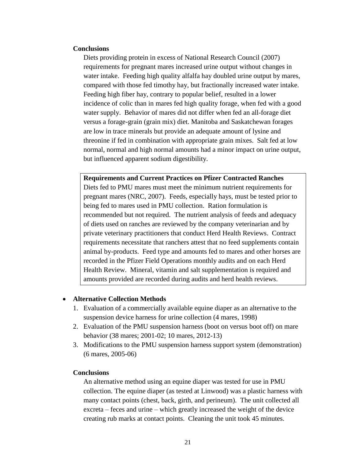#### **Conclusions**

Diets providing protein in excess of National Research Council (2007) requirements for pregnant mares increased urine output without changes in water intake. Feeding high quality alfalfa hay doubled urine output by mares, compared with those fed timothy hay, but fractionally increased water intake. Feeding high fiber hay, contrary to popular belief, resulted in a lower incidence of colic than in mares fed high quality forage, when fed with a good water supply. Behavior of mares did not differ when fed an all-forage diet versus a forage-grain (grain mix) diet. Manitoba and Saskatchewan forages are low in trace minerals but provide an adequate amount of lysine and threonine if fed in combination with appropriate grain mixes. Salt fed at low normal, normal and high normal amounts had a minor impact on urine output, but influenced apparent sodium digestibility.

**Requirements and Current Practices on Pfizer Contracted Ranches** Diets fed to PMU mares must meet the minimum nutrient requirements for pregnant mares (NRC, 2007). Feeds, especially hays, must be tested prior to being fed to mares used in PMU collection. Ration formulation is recommended but not required. The nutrient analysis of feeds and adequacy of diets used on ranches are reviewed by the company veterinarian and by private veterinary practitioners that conduct Herd Health Reviews. Contract requirements necessitate that ranchers attest that no feed supplements contain animal by-products. Feed type and amounts fed to mares and other horses are recorded in the Pfizer Field Operations monthly audits and on each Herd Health Review. Mineral, vitamin and salt supplementation is required and amounts provided are recorded during audits and herd health reviews.

#### **Alternative Collection Methods**

- 1. Evaluation of a commercially available equine diaper as an alternative to the suspension device harness for urine collection (4 mares, 1998)
- 2. Evaluation of the PMU suspension harness (boot on versus boot off) on mare behavior (38 mares; 2001-02; 10 mares, 2012-13)
- 3. Modifications to the PMU suspension harness support system (demonstration) (6 mares, 2005-06)

#### **Conclusions**

An alternative method using an equine diaper was tested for use in PMU collection. The equine diaper (as tested at Linwood) was a plastic harness with many contact points (chest, back, girth, and perineum). The unit collected all excreta – feces and urine – which greatly increased the weight of the device creating rub marks at contact points. Cleaning the unit took 45 minutes.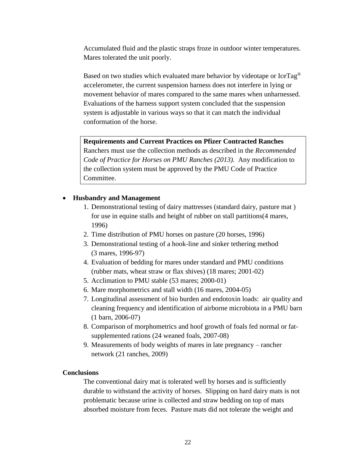Accumulated fluid and the plastic straps froze in outdoor winter temperatures. Mares tolerated the unit poorly.

Based on two studies which evaluated mare behavior by videotape or IceTag® accelerometer, the current suspension harness does not interfere in lying or movement behavior of mares compared to the same mares when unharnessed. Evaluations of the harness support system concluded that the suspension system is adjustable in various ways so that it can match the individual conformation of the horse.

#### **Requirements and Current Practices on Pfizer Contracted Ranches**

Ranchers must use the collection methods as described in the *Recommended Code of Practice for Horses on PMU Ranches (2013).* Any modification to the collection system must be approved by the PMU Code of Practice Committee.

#### **Husbandry and Management**

- 1. Demonstrational testing of dairy mattresses (standard dairy, pasture mat ) for use in equine stalls and height of rubber on stall partitions(4 mares, 1996)
- 2. Time distribution of PMU horses on pasture (20 horses, 1996)
- 3. Demonstrational testing of a hook-line and sinker tethering method (3 mares, 1996-97)
- 4. Evaluation of bedding for mares under standard and PMU conditions (rubber mats, wheat straw or flax shives) (18 mares; 2001-02)
- 5. Acclimation to PMU stable (53 mares; 2000-01)
- 6. Mare morphometrics and stall width (16 mares, 2004-05)
- 7. Longitudinal assessment of bio burden and endotoxin loads: air quality and cleaning frequency and identification of airborne microbiota in a PMU barn (1 barn, 2006-07)
- 8. Comparison of morphometrics and hoof growth of foals fed normal or fatsupplemented rations (24 weaned foals, 2007-08)
- 9. Measurements of body weights of mares in late pregnancy rancher network (21 ranches, 2009)

#### **Conclusions**

The conventional dairy mat is tolerated well by horses and is sufficiently durable to withstand the activity of horses. Slipping on hard dairy mats is not problematic because urine is collected and straw bedding on top of mats absorbed moisture from feces. Pasture mats did not tolerate the weight and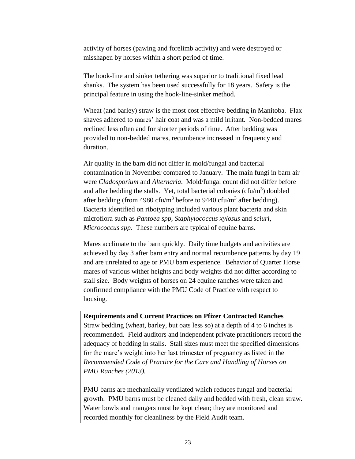activity of horses (pawing and forelimb activity) and were destroyed or misshapen by horses within a short period of time.

The hook-line and sinker tethering was superior to traditional fixed lead shanks. The system has been used successfully for 18 years. Safety is the principal feature in using the hook-line-sinker method.

Wheat (and barley) straw is the most cost effective bedding in Manitoba. Flax shaves adhered to mares' hair coat and was a mild irritant. Non-bedded mares reclined less often and for shorter periods of time. After bedding was provided to non-bedded mares, recumbence increased in frequency and duration.

Air quality in the barn did not differ in mold/fungal and bacterial contamination in November compared to January. The main fungi in barn air were *Cladosporium* and *Alternaria*. Mold/fungal count did not differ before and after bedding the stalls. Yet, total bacterial colonies  $(cfu/m<sup>3</sup>)$  doubled after bedding (from 4980 cfu/m<sup>3</sup> before to 9440 cfu/m<sup>3</sup> after bedding). Bacteria identified on ribotyping included various plant bacteria and skin microflora such as *Pantoea spp, Staphylococcus xylosus* and *sciuri, Micrococcus spp.* These numbers are typical of equine barns.

Mares acclimate to the barn quickly. Daily time budgets and activities are achieved by day 3 after barn entry and normal recumbence patterns by day 19 and are unrelated to age or PMU barn experience. Behavior of Quarter Horse mares of various wither heights and body weights did not differ according to stall size. Body weights of horses on 24 equine ranches were taken and confirmed compliance with the PMU Code of Practice with respect to housing.

# **Requirements and Current Practices on Pfizer Contracted Ranches**

Straw bedding (wheat, barley, but oats less so) at a depth of 4 to 6 inches is recommended. Field auditors and independent private practitioners record the adequacy of bedding in stalls. Stall sizes must meet the specified dimensions for the mare's weight into her last trimester of pregnancy as listed in the *Recommended Code of Practice for the Care and Handling of Horses on PMU Ranches (2013).*

PMU barns are mechanically ventilated which reduces fungal and bacterial growth. PMU barns must be cleaned daily and bedded with fresh, clean straw. Water bowls and mangers must be kept clean; they are monitored and recorded monthly for cleanliness by the Field Audit team.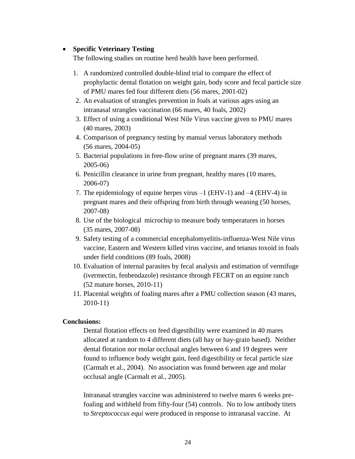## **Specific Veterinary Testing**

The following studies on routine herd health have been performed.

- 1. A randomized controlled double-blind trial to compare the effect of prophylactic dental flotation on weight gain, body score and fecal particle size of PMU mares fed four different diets (56 mares, 2001-02)
- 2. An evaluation of strangles prevention in foals at various ages using an intranasal strangles vaccination (66 mares, 40 foals, 2002)
- 3. Effect of using a conditional West Nile Virus vaccine given to PMU mares (40 mares, 2003)
- 4. Comparison of pregnancy testing by manual versus laboratory methods (56 mares, 2004-05)
- 5. Bacterial populations in free-flow urine of pregnant mares (39 mares, 2005-06)
- 6. Penicillin clearance in urine from pregnant, healthy mares (10 mares, 2006-07)
- 7. The epidemiology of equine herpes virus –1 (EHV-1) and –4 (EHV-4) in pregnant mares and their offspring from birth through weaning (50 horses, 2007-08)
- 8. Use of the biological microchip to measure body temperatures in horses (35 mares, 2007-08)
- 9. Safety testing of a commercial encephalomyelitis-influenza-West Nile virus vaccine, Eastern and Western killed virus vaccine, and tetanus toxoid in foals under field conditions (89 foals, 2008)
- 10. Evaluation of internal parasites by fecal analysis and estimation of vermifuge (ivermectin, fenbendazole) resistance through FECRT on an equine ranch (52 mature horses, 2010-11)
- 11. Placental weights of foaling mares after a PMU collection season (43 mares, 2010-11)

#### **Conclusions:**

Dental flotation effects on feed digestibility were examined in 40 mares allocated at random to 4 different diets (all hay or hay-grain based). Neither dental flotation nor molar occlusal angles between 6 and 19 degrees were found to influence body weight gain, feed digestibility or fecal particle size (Carmalt et al., 2004). No association was found between age and molar occlusal angle (Carmalt et al., 2005).

Intranasal strangles vaccine was administered to twelve mares 6 weeks prefoaling and withheld from fifty-four (54) controls. No to low antibody titers to *Streptococcus equi* were produced in response to intranasal vaccine. At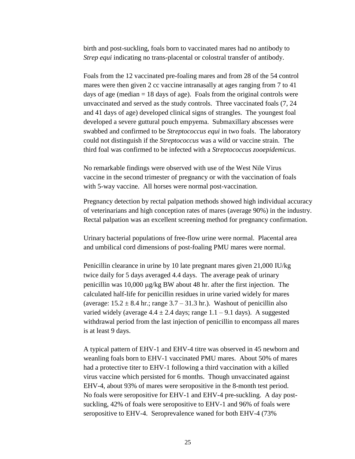birth and post-suckling, foals born to vaccinated mares had no antibody to *Strep equi* indicating no trans-placental or colostral transfer of antibody.

Foals from the 12 vaccinated pre-foaling mares and from 28 of the 54 control mares were then given 2 cc vaccine intranasally at ages ranging from 7 to 41 days of age (median  $= 18$  days of age). Foals from the original controls were unvaccinated and served as the study controls. Three vaccinated foals (7, 24 and 41 days of age) developed clinical signs of strangles. The youngest foal developed a severe guttural pouch empyema. Submaxillary abscesses were swabbed and confirmed to be *Streptococcus equi* in two foals. The laboratory could not distinguish if the *Streptococcus* was a wild or vaccine strain. The third foal was confirmed to be infected with a *Streptococcus zooepidemicus*.

No remarkable findings were observed with use of the West Nile Virus vaccine in the second trimester of pregnancy or with the vaccination of foals with 5-way vaccine. All horses were normal post-vaccination.

Pregnancy detection by rectal palpation methods showed high individual accuracy of veterinarians and high conception rates of mares (average 90%) in the industry. Rectal palpation was an excellent screening method for pregnancy confirmation.

Urinary bacterial populations of free-flow urine were normal. Placental area and umbilical cord dimensions of post-foaling PMU mares were normal.

Penicillin clearance in urine by 10 late pregnant mares given 21,000 IU/kg twice daily for 5 days averaged 4.4 days. The average peak of urinary penicillin was 10,000 µg/kg BW about 48 hr. after the first injection. The calculated half-life for penicillin residues in urine varied widely for mares (average:  $15.2 \pm 8.4$  hr.; range  $3.7 - 31.3$  hr.). Washout of penicillin also varied widely (average  $4.4 \pm 2.4$  days; range  $1.1 - 9.1$  days). A suggested withdrawal period from the last injection of penicillin to encompass all mares is at least 9 days.

A typical pattern of EHV-1 and EHV-4 titre was observed in 45 newborn and weanling foals born to EHV-1 vaccinated PMU mares. About 50% of mares had a protective titer to EHV-1 following a third vaccination with a killed virus vaccine which persisted for 6 months. Though unvaccinated against EHV-4, about 93% of mares were seropositive in the 8-month test period. No foals were seropositive for EHV-1 and EHV-4 pre-suckling. A day postsuckling, 42% of foals were seropositive to EHV-1 and 96% of foals were seropositive to EHV-4. Seroprevalence waned for both EHV-4 (73%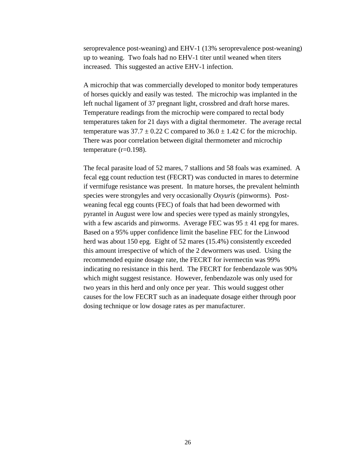seroprevalence post-weaning) and EHV-1 (13% seroprevalence post-weaning) up to weaning. Two foals had no EHV-1 titer until weaned when titers increased. This suggested an active EHV-1 infection.

A microchip that was commercially developed to monitor body temperatures of horses quickly and easily was tested. The microchip was implanted in the left nuchal ligament of 37 pregnant light, crossbred and draft horse mares. Temperature readings from the microchip were compared to rectal body temperatures taken for 21 days with a digital thermometer. The average rectal temperature was  $37.7 \pm 0.22$  C compared to  $36.0 \pm 1.42$  C for the microchip. There was poor correlation between digital thermometer and microchip temperature  $(r=0.198)$ .

The fecal parasite load of 52 mares, 7 stallions and 58 foals was examined. A fecal egg count reduction test (FECRT) was conducted in mares to determine if vermifuge resistance was present. In mature horses, the prevalent helminth species were strongyles and very occasionally *Oxyuris* (pinworms). Postweaning fecal egg counts (FEC) of foals that had been dewormed with pyrantel in August were low and species were typed as mainly strongyles, with a few ascarids and pinworms. Average FEC was  $95 \pm 41$  epg for mares. Based on a 95% upper confidence limit the baseline FEC for the Linwood herd was about 150 epg. Eight of 52 mares (15.4%) consistently exceeded this amount irrespective of which of the 2 dewormers was used. Using the recommended equine dosage rate, the FECRT for ivermectin was 99% indicating no resistance in this herd. The FECRT for fenbendazole was 90% which might suggest resistance. However, fenbendazole was only used for two years in this herd and only once per year. This would suggest other causes for the low FECRT such as an inadequate dosage either through poor dosing technique or low dosage rates as per manufacturer.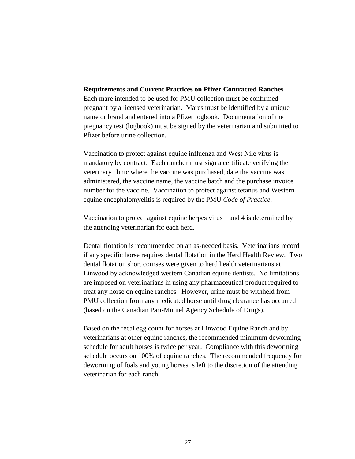**Requirements and Current Practices on Pfizer Contracted Ranches** Each mare intended to be used for PMU collection must be confirmed pregnant by a licensed veterinarian. Mares must be identified by a unique name or brand and entered into a Pfizer logbook. Documentation of the pregnancy test (logbook) must be signed by the veterinarian and submitted to Pfizer before urine collection.

Vaccination to protect against equine influenza and West Nile virus is mandatory by contract. Each rancher must sign a certificate verifying the veterinary clinic where the vaccine was purchased, date the vaccine was administered, the vaccine name, the vaccine batch and the purchase invoice number for the vaccine. Vaccination to protect against tetanus and Western equine encephalomyelitis is required by the PMU *Code of Practice*.

Vaccination to protect against equine herpes virus 1 and 4 is determined by the attending veterinarian for each herd.

Dental flotation is recommended on an as-needed basis. Veterinarians record if any specific horse requires dental flotation in the Herd Health Review. Two dental flotation short courses were given to herd health veterinarians at Linwood by acknowledged western Canadian equine dentists. No limitations are imposed on veterinarians in using any pharmaceutical product required to treat any horse on equine ranches. However, urine must be withheld from PMU collection from any medicated horse until drug clearance has occurred (based on the Canadian Pari-Mutuel Agency Schedule of Drugs).

Based on the fecal egg count for horses at Linwood Equine Ranch and by veterinarians at other equine ranches, the recommended minimum deworming schedule for adult horses is twice per year. Compliance with this deworming schedule occurs on 100% of equine ranches. The recommended frequency for deworming of foals and young horses is left to the discretion of the attending veterinarian for each ranch.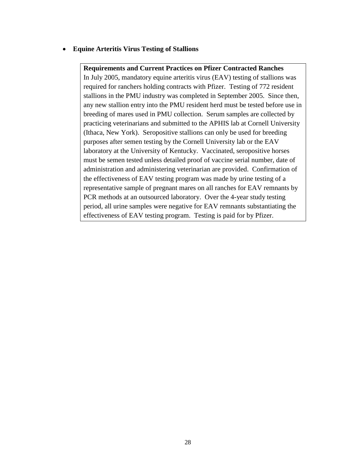**Equine Arteritis Virus Testing of Stallions**

#### **Requirements and Current Practices on Pfizer Contracted Ranches**

In July 2005, mandatory equine arteritis virus (EAV) testing of stallions was required for ranchers holding contracts with Pfizer. Testing of 772 resident stallions in the PMU industry was completed in September 2005. Since then, any new stallion entry into the PMU resident herd must be tested before use in breeding of mares used in PMU collection. Serum samples are collected by practicing veterinarians and submitted to the APHIS lab at Cornell University (Ithaca, New York). Seropositive stallions can only be used for breeding purposes after semen testing by the Cornell University lab or the EAV laboratory at the University of Kentucky. Vaccinated, seropositive horses must be semen tested unless detailed proof of vaccine serial number, date of administration and administering veterinarian are provided. Confirmation of the effectiveness of EAV testing program was made by urine testing of a representative sample of pregnant mares on all ranches for EAV remnants by PCR methods at an outsourced laboratory. Over the 4-year study testing period, all urine samples were negative for EAV remnants substantiating the effectiveness of EAV testing program. Testing is paid for by Pfizer.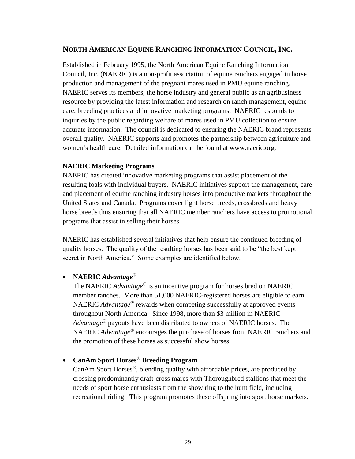# **NORTH AMERICAN EQUINE RANCHING INFORMATION COUNCIL,INC.**

Established in February 1995, the North American Equine Ranching Information Council, Inc. (NAERIC) is a non-profit association of equine ranchers engaged in horse production and management of the pregnant mares used in PMU equine ranching. NAERIC serves its members, the horse industry and general public as an agribusiness resource by providing the latest information and research on ranch management, equine care, breeding practices and innovative marketing programs.NAERIC responds to inquiries by the public regarding welfare of mares used in PMU collection to ensure accurate information. The council is dedicated to ensuring the NAERIC brand represents overall quality. NAERIC supports and promotes the partnership between agriculture and women's health care. Detailed information can be found at www.naeric.org.

## **NAERIC Marketing Programs**

NAERIC has created innovative marketing programs that assist placement of the resulting foals with individual buyers. NAERIC initiatives support the management, care and placement of equine ranching industry horses into productive markets throughout the United States and Canada. Programs cover light horse breeds, crossbreds and heavy horse breeds thus ensuring that all NAERIC member ranchers have access to promotional programs that assist in selling their horses.

NAERIC has established several initiatives that help ensure the continued breeding of quality horses. The quality of the resulting horses has been said to be "the best kept secret in North America." Some examples are identified below.

# **NAERIC** *Advantage®*

The NAERIC *Advantage*® is an incentive program for horses bred on NAERIC member ranches. More than 51,000 NAERIC-registered horses are eligible to earn NAERIC *Advantage*® rewards when competing successfully at approved events throughout North America. Since 1998, more than \$3 million in NAERIC *Advantage*® payouts have been distributed to owners of NAERIC horses. The NAERIC *Advantage*® encourages the purchase of horses from NAERIC ranchers and the promotion of these horses as successful show horses.

# **CanAm Sport Horses***®* **Breeding Program**

CanAm Sport Horses®, blending quality with affordable prices, are produced by crossing predominantly draft-cross mares with Thoroughbred stallions that meet the needs of sport horse enthusiasts from the show ring to the hunt field, including recreational riding. This program promotes these offspring into sport horse markets.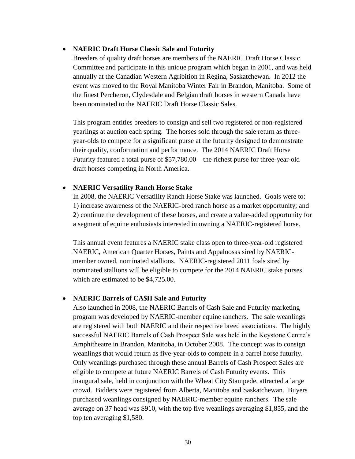#### **NAERIC Draft Horse Classic Sale and Futurity**

Breeders of quality draft horses are members of the NAERIC Draft Horse Classic Committee and participate in this unique program which began in 2001, and was held annually at the Canadian Western Agribition in Regina, Saskatchewan. In 2012 the event was moved to the Royal Manitoba Winter Fair in Brandon, Manitoba. Some of the finest Percheron, Clydesdale and Belgian draft horses in western Canada have been nominated to the NAERIC Draft Horse Classic Sales.

This program entitles breeders to consign and sell two registered or non-registered yearlings at auction each spring. The horses sold through the sale return as threeyear-olds to compete for a significant purse at the futurity designed to demonstrate their quality, conformation and performance. The 2014 NAERIC Draft Horse Futurity featured a total purse of \$57,780.00 – the richest purse for three-year-old draft horses competing in North America.

#### **NAERIC Versatility Ranch Horse Stake**

In 2008, the NAERIC Versatility Ranch Horse Stake was launched. Goals were to: 1) increase awareness of the NAERIC-bred ranch horse as a market opportunity; and 2) continue the development of these horses, and create a value-added opportunity for a segment of equine enthusiasts interested in owning a NAERIC-registered horse.

This annual event features a NAERIC stake class open to three-year-old registered NAERIC, American Quarter Horses, Paints and Appaloosas sired by NAERICmember owned, nominated stallions. NAERIC-registered 2011 foals sired by nominated stallions will be eligible to compete for the 2014 NAERIC stake purses which are estimated to be \$4,725.00.

#### **NAERIC Barrels of CA\$H Sale and Futurity**

Also launched in 2008, the NAERIC Barrels of Cash Sale and Futurity marketing program was developed by NAERIC-member equine ranchers. The sale weanlings are registered with both NAERIC and their respective breed associations. The highly successful NAERIC Barrels of Cash Prospect Sale was held in the Keystone Centre's Amphitheatre in Brandon, Manitoba, in October 2008. The concept was to consign weanlings that would return as five-year-olds to compete in a barrel horse futurity. Only weanlings purchased through these annual Barrels of Cash Prospect Sales are eligible to compete at future NAERIC Barrels of Cash Futurity events. This inaugural sale, held in conjunction with the Wheat City Stampede, attracted a large crowd. Bidders were registered from Alberta, Manitoba and Saskatchewan. Buyers purchased weanlings consigned by NAERIC-member equine ranchers. The sale average on 37 head was \$910, with the top five weanlings averaging \$1,855, and the top ten averaging \$1,580.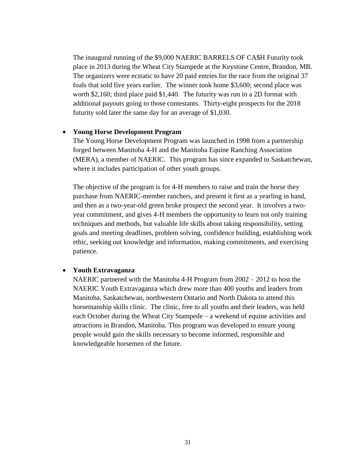The inaugural running of the \$9,000 NAERIC BARRELS OF CA\$H Futurity took place in 2013 during the Wheat City Stampede at the Keystone Centre, Brandon, MB. The organizers were ecstatic to have 20 paid entries for the race from the original 37 foals that sold five years earlier. The winner took home \$3,600; second place was worth \$2,160; third place paid \$1,440. The futurity was run in a 2D format with additional payouts going to those contestants. Thirty-eight prospects for the 2018 futurity sold later the same day for an average of \$1,030.

#### **Young Horse Development Program**

The Young Horse Development Program was launched in 1998 from a partnership forged between Manitoba 4-H and the Manitoba Equine Ranching Association (MERA), a member of NAERIC. This program has since expanded to Saskatchewan, where it includes participation of other youth groups.

The objective of the program is for 4-H members to raise and train the horse they purchase from NAERIC-member ranchers, and present it first as a yearling in hand, and then as a two-year-old green broke prospect the second year. It involves a twoyear commitment, and gives 4-H members the opportunity to learn not only training techniques and methods, but valuable life skills about taking responsibility, setting goals and meeting deadlines, problem solving, confidence building, establishing work ethic, seeking out knowledge and information, making commitments, and exercising patience.

#### **Youth Extravaganza**

NAERIC partnered with the Manitoba 4-H Program from 2002 – 2012 to host the NAERIC Youth Extravaganza which drew more than 400 youths and leaders from Manitoba, Saskatchewan, northwestern Ontario and North Dakota to attend this horsemanship skills clinic. The clinic, free to all youths and their leaders, was held each October during the Wheat City Stampede – a weekend of equine activities and attractions in Brandon, Manitoba. This program was developed to ensure young people would gain the skills necessary to become informed, responsible and knowledgeable horsemen of the future.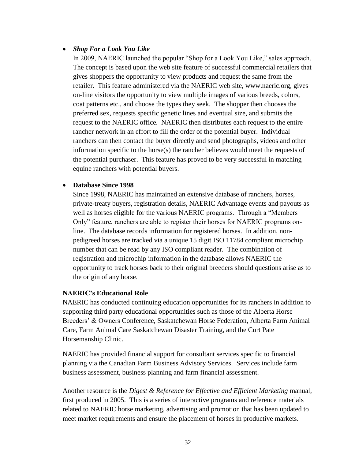## *Shop For a Look You Like*

In 2009, NAERIC launched the popular "Shop for a Look You Like," sales approach. The concept is based upon the web site feature of successful commercial retailers that gives shoppers the opportunity to view products and request the same from the retailer. This feature administered via the NAERIC web site, [www.naeric.org,](http://www.naeric.org/) gives on-line visitors the opportunity to view multiple images of various breeds, colors, coat patterns etc., and choose the types they seek. The shopper then chooses the preferred sex, requests specific genetic lines and eventual size, and submits the request to the NAERIC office. NAERIC then distributes each request to the entire rancher network in an effort to fill the order of the potential buyer. Individual ranchers can then contact the buyer directly and send photographs, videos and other information specific to the horse(s) the rancher believes would meet the requests of the potential purchaser. This feature has proved to be very successful in matching equine ranchers with potential buyers.

#### **Database Since 1998**

Since 1998, NAERIC has maintained an extensive database of ranchers, horses, private-treaty buyers, registration details, NAERIC Advantage events and payouts as well as horses eligible for the various NAERIC programs. Through a "Members" Only" feature, ranchers are able to register their horses for NAERIC programs online. The database records information for registered horses. In addition, nonpedigreed horses are tracked via a unique 15 digit ISO 11784 compliant microchip number that can be read by any ISO compliant reader. The combination of registration and microchip information in the database allows NAERIC the opportunity to track horses back to their original breeders should questions arise as to the origin of any horse.

#### **NAERIC's Educational Role**

NAERIC has conducted continuing education opportunities for its ranchers in addition to supporting third party educational opportunities such as those of the Alberta Horse Breeders' & Owners Conference, Saskatchewan Horse Federation, Alberta Farm Animal Care, Farm Animal Care Saskatchewan Disaster Training, and the Curt Pate Horsemanship Clinic.

NAERIC has provided financial support for consultant services specific to financial planning via the Canadian Farm Business Advisory Services. Services include farm business assessment, business planning and farm financial assessment.

Another resource is the *Digest & Reference for Effective and Efficient Marketing* manual*,* first produced in 2005. This is a series of interactive programs and reference materials related to NAERIC horse marketing, advertising and promotion that has been updated to meet market requirements and ensure the placement of horses in productive markets.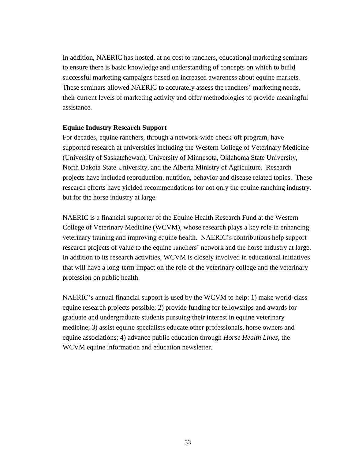In addition, NAERIC has hosted, at no cost to ranchers, educational marketing seminars to ensure there is basic knowledge and understanding of concepts on which to build successful marketing campaigns based on increased awareness about equine markets. These seminars allowed NAERIC to accurately assess the ranchers' marketing needs, their current levels of marketing activity and offer methodologies to provide meaningful assistance.

#### **Equine Industry Research Support**

For decades, equine ranchers, through a network-wide check-off program, have supported research at universities including the Western College of Veterinary Medicine (University of Saskatchewan), University of Minnesota, Oklahoma State University, North Dakota State University, and the Alberta Ministry of Agriculture. Research projects have included reproduction, nutrition, behavior and disease related topics. These research efforts have yielded recommendations for not only the equine ranching industry, but for the horse industry at large.

NAERIC is a financial supporter of the Equine Health Research Fund at the Western College of Veterinary Medicine (WCVM), whose research plays a key role in enhancing veterinary training and improving equine health. NAERIC's contributions help support research projects of value to the equine ranchers' network and the horse industry at large. In addition to its research activities, WCVM is closely involved in educational initiatives that will have a long-term impact on the role of the veterinary college and the veterinary profession on public health.

NAERIC's annual financial support is used by the WCVM to help: 1) make world-class equine research projects possible; 2) provide funding for fellowships and awards for graduate and undergraduate students pursuing their interest in equine veterinary medicine; 3) assist equine specialists educate other professionals, horse owners and equine associations; 4) advance public education through *Horse Health Lines*, the WCVM equine information and education newsletter.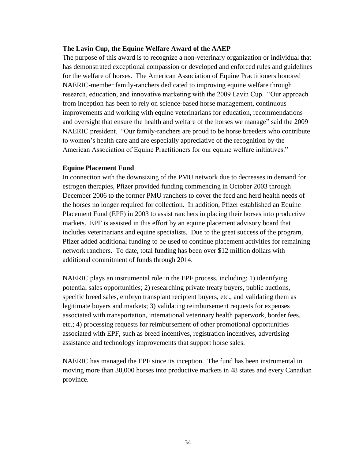## **The Lavin Cup, the Equine Welfare Award of the AAEP**

The purpose of this award is to recognize a non-veterinary organization or individual that has demonstrated exceptional compassion or developed and enforced rules and guidelines for the welfare of horses. The American Association of Equine Practitioners honored NAERIC-member family-ranchers dedicated to improving equine welfare through research, education, and innovative marketing with the 2009 Lavin Cup. "Our approach from inception has been to rely on science-based horse management, continuous improvements and working with equine veterinarians for education, recommendations and oversight that ensure the health and welfare of the horses we manage" said the 2009 NAERIC president. "Our family-ranchers are proud to be horse breeders who contribute to women's health care and are especially appreciative of the recognition by the American Association of Equine Practitioners for our equine welfare initiatives."

#### **Equine Placement Fund**

In connection with the downsizing of the PMU network due to decreases in demand for estrogen therapies, Pfizer provided funding commencing in October 2003 through December 2006 to the former PMU ranchers to cover the feed and herd health needs of the horses no longer required for collection. In addition, Pfizer established an Equine Placement Fund (EPF) in 2003 to assist ranchers in placing their horses into productive markets. EPF is assisted in this effort by an equine placement advisory board that includes veterinarians and equine specialists. Due to the great success of the program, Pfizer added additional funding to be used to continue placement activities for remaining network ranchers. To date, total funding has been over \$12 million dollars with additional commitment of funds through 2014.

NAERIC plays an instrumental role in the EPF process, including: 1) identifying potential sales opportunities; 2) researching private treaty buyers, public auctions, specific breed sales, embryo transplant recipient buyers, etc., and validating them as legitimate buyers and markets; 3) validating reimbursement requests for expenses associated with transportation, international veterinary health paperwork, border fees, etc.; 4) processing requests for reimbursement of other promotional opportunities associated with EPF, such as breed incentives, registration incentives, advertising assistance and technology improvements that support horse sales.

NAERIC has managed the EPF since its inception. The fund has been instrumental in moving more than 30,000 horses into productive markets in 48 states and every Canadian province.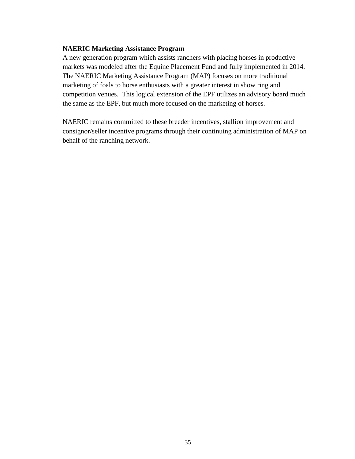#### **NAERIC Marketing Assistance Program**

A new generation program which assists ranchers with placing horses in productive markets was modeled after the Equine Placement Fund and fully implemented in 2014. The NAERIC Marketing Assistance Program (MAP) focuses on more traditional marketing of foals to horse enthusiasts with a greater interest in show ring and competition venues. This logical extension of the EPF utilizes an advisory board much the same as the EPF, but much more focused on the marketing of horses.

NAERIC remains committed to these breeder incentives, stallion improvement and consignor/seller incentive programs through their continuing administration of MAP on behalf of the ranching network.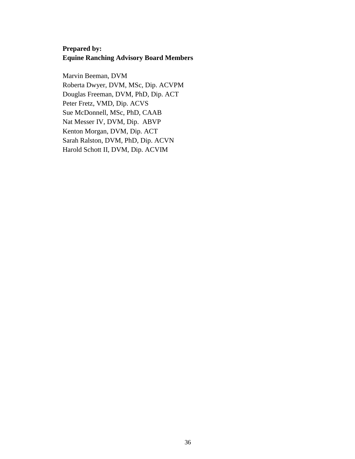# **Prepared by: Equine Ranching Advisory Board Members**

Marvin Beeman, DVM Roberta Dwyer, DVM, MSc, Dip. ACVPM Douglas Freeman, DVM, PhD, Dip. ACT Peter Fretz, VMD, Dip. ACVS Sue McDonnell, MSc, PhD, CAAB Nat Messer IV, DVM, Dip. ABVP Kenton Morgan, DVM, Dip. ACT Sarah Ralston, DVM, PhD, Dip. ACVN Harold Schott II, DVM, Dip. ACVIM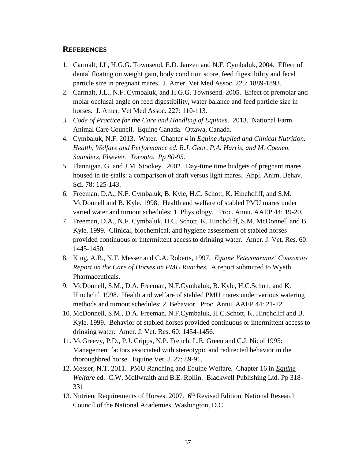# **REFERENCES**

- 1. Carmalt, J.L, H.G.G. Townsend, E.D. Janzen and N.F. Cymbaluk, 2004. Effect of dental floating on weight gain, body condition score, feed digestibility and fecal particle size in pregnant mares. J. Amer. Vet Med Assoc. 225: 1889-1893.
- 2. Carmalt, J.L., N.F. Cymbaluk, and H.G.G. Townsend. 2005. Effect of premolar and molar occlusal angle on feed digestibility, water balance and feed particle size in horses. J. Amer. Vet Med Assoc. 227: 110-113.
- 3. *Code of Practice for the Care and Handling of Equines*. 2013. National Farm Animal Care Council. Equine Canada. Ottawa, Canada.
- 4. Cymbaluk, N.F. 2013. Water. Chapter 4 in *Equine Applied and Clinical Nutrition. Health, Welfare and Performance ed. R.J. Geor, P.A. Harris, and M. Coenen. Saunders, Elsevier. Toronto. Pp 80-95.*
- 5. Flannigan, G. and J.M. Stookey. 2002. Day-time time budgets of pregnant mares housed in tie-stalls: a comparison of draft versus light mares. Appl. Anim. Behav. Sci. 78: 125-143.
- 6. Freeman, D.A., N.F. Cymbaluk, B. Kyle, H.C. Schott, K. Hinchcliff, and S.M. McDonnell and B. Kyle. 1998. Health and welfare of stabled PMU mares under varied water and turnout schedules: 1. Physiology. Proc. Annu. AAEP 44: 19-20.
- 7. Freeman, D.A., N.F. Cymbaluk, H.C. Schott, K. Hinchcliff, S.M. McDonnell and B. Kyle. 1999. Clinical, biochemical, and hygiene assessment of stabled horses provided continuous or intermittent access to drinking water. Amer. J. Vet. Res. 60: 1445-1450.
- 8. King, A.B., N.T. Messer and C.A. Roberts, 1997. *Equine Veterinarians' Consensus Report on the Care of Horses on PMU Ranches.* A report submitted to Wyeth Pharmaceuticals.
- 9. McDonnell, S.M., D.A. Freeman, N.F.Cymbaluk, B. Kyle, H.C.Schott, and K. Hinchclif. 1998. Health and welfare of stabled PMU mares under various watering methods and turnout schedules: 2. Behavior. Proc. Annu. AAEP 44: 21-22.
- 10. McDonnell, S.M., D.A. Freeman, N.F.Cymbaluk, H.C.Schott, K. Hinchcliff and B. Kyle. 1999. Behavior of stabled horses provided continuous or intermittent access to drinking water. Amer. J. Vet. Res. 60: 1454-1456.
- 11. McGreevy, P.D., P.J. Cripps, N.P. French, L.E. Green and C.J. Nicol 1995: Management factors associated with stereotypic and redirected behavior in the thoroughbred horse. Equine Vet. J. 27: 89-91.
- 12. Messer, N.T. 2011. PMU Ranching and Equine Welfare. Chapter 16 in *Equine Welfare* ed. C.W. McIlwraith and B.E. Rollin. Blackwell Publishing Ltd. Pp 318- 331
- 13. Nutrient Requirements of Horses. 2007. 6<sup>th</sup> Revised Edition. National Research Council of the National Academies. Washington, D.C.